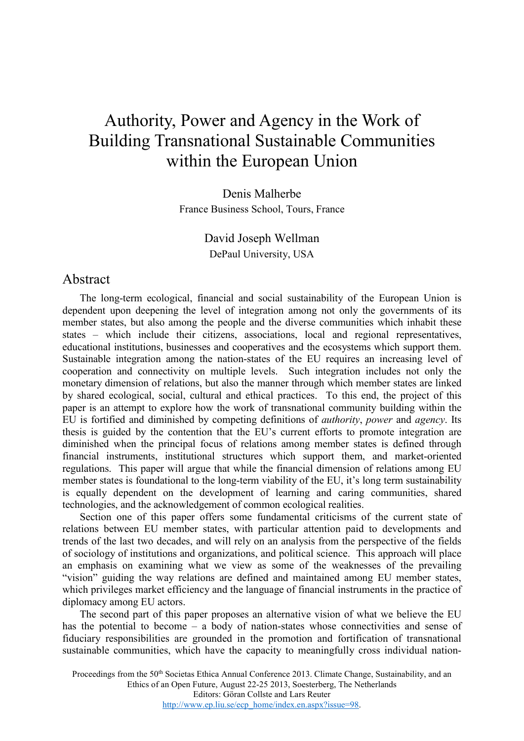# Authority, Power and Agency in the Work of Building Transnational Sustainable Communities within the European Union

Denis Malherbe France Business School, Tours, France

> David Joseph Wellman DePaul University, USA

#### Abstract

The long-term ecological, financial and social sustainability of the European Union is dependent upon deepening the level of integration among not only the governments of its member states, but also among the people and the diverse communities which inhabit these states – which include their citizens, associations, local and regional representatives, educational institutions, businesses and cooperatives and the ecosystems which support them. Sustainable integration among the nation-states of the EU requires an increasing level of cooperation and connectivity on multiple levels. Such integration includes not only the monetary dimension of relations, but also the manner through which member states are linked by shared ecological, social, cultural and ethical practices. To this end, the project of this paper is an attempt to explore how the work of transnational community building within the EU is fortified and diminished by competing definitions of *authority*, *power* and *agency*. Its thesis is guided by the contention that the EU's current efforts to promote integration are diminished when the principal focus of relations among member states is defined through financial instruments, institutional structures which support them, and market-oriented regulations. This paper will argue that while the financial dimension of relations among EU member states is foundational to the long-term viability of the EU, it's long term sustainability is equally dependent on the development of learning and caring communities, shared technologies, and the acknowledgement of common ecological realities.

Section one of this paper offers some fundamental criticisms of the current state of relations between EU member states, with particular attention paid to developments and trends of the last two decades, and will rely on an analysis from the perspective of the fields of sociology of institutions and organizations, and political science. This approach will place an emphasis on examining what we view as some of the weaknesses of the prevailing "vision" guiding the way relations are defined and maintained among EU member states, which privileges market efficiency and the language of financial instruments in the practice of diplomacy among EU actors.

The second part of this paper proposes an alternative vision of what we believe the EU has the potential to become – a body of nation-states whose connectivities and sense of fiduciary responsibilities are grounded in the promotion and fortification of transnational sustainable communities, which have the capacity to meaningfully cross individual nation-

Proceedings from the 50<sup>th</sup> Societas Ethica Annual Conference 2013. Climate Change, Sustainability, and an Ethics of an Open Future, August 22-25 2013, Soesterberg, The Netherlands Editors: Göran Collste and Lars Reuter [http://www.ep.liu.se/ecp\\_home/index.en.aspx?issue=98.](http://www.ep.liu.se/ecp_home/index.en.aspx?issue=98)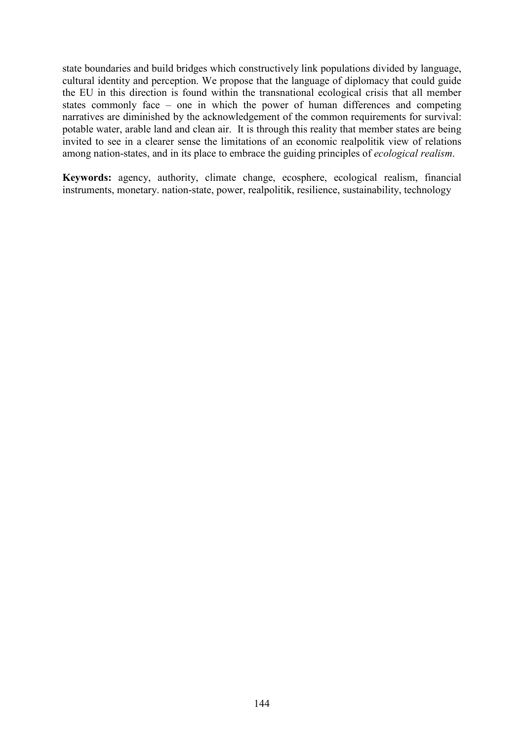state boundaries and build bridges which constructively link populations divided by language, cultural identity and perception. We propose that the language of diplomacy that could guide the EU in this direction is found within the transnational ecological crisis that all member states commonly face – one in which the power of human differences and competing narratives are diminished by the acknowledgement of the common requirements for survival: potable water, arable land and clean air. It is through this reality that member states are being invited to see in a clearer sense the limitations of an economic realpolitik view of relations among nation-states, and in its place to embrace the guiding principles of *ecological realism*.

**Keywords:** agency, authority, climate change, ecosphere, ecological realism, financial instruments, monetary. nation-state, power, realpolitik, resilience, sustainability, technology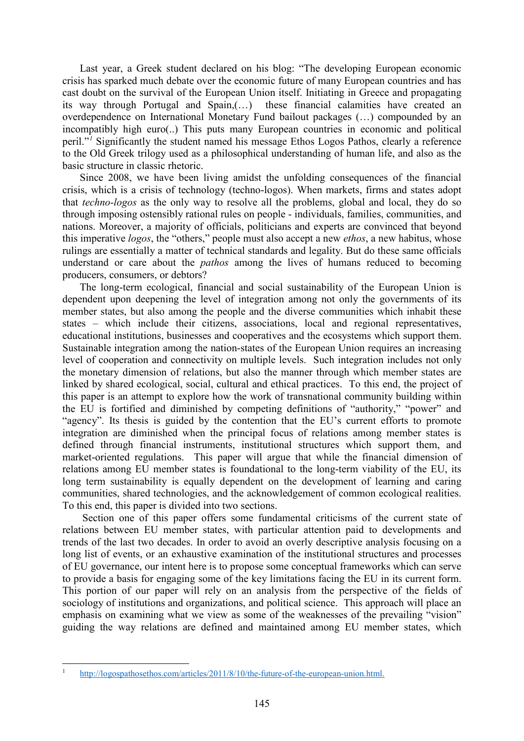Last year, a Greek student declared on his blog: "The developing European economic crisis has sparked much debate over the economic future of many European countries and has cast doubt on the survival of the European Union itself. Initiating in Greece and propagating its way through Portugal and Spain,(…) these financial calamities have created an overdependence on International Monetary Fund bailout packages (…) compounded by an incompatibly high euro(..) This puts many European countries in economic and political peril."*[1](#page-2-0)* Significantly the student named his message Ethos Logos Pathos, clearly a reference to the Old Greek trilogy used as a philosophical understanding of human life, and also as the basic structure in classic rhetoric.

Since 2008, we have been living amidst the unfolding consequences of the financial crisis, which is a crisis of technology (techno-logos). When markets, firms and states adopt that *techno-logos* as the only way to resolve all the problems, global and local, they do so through imposing ostensibly rational rules on people - individuals, families, communities, and nations. Moreover, a majority of officials, politicians and experts are convinced that beyond this imperative *logos*, the "others," people must also accept a new *ethos*, a new habitus, whose rulings are essentially a matter of technical standards and legality. But do these same officials understand or care about the *pathos* among the lives of humans reduced to becoming producers, consumers, or debtors?

The long-term ecological, financial and social sustainability of the European Union is dependent upon deepening the level of integration among not only the governments of its member states, but also among the people and the diverse communities which inhabit these states – which include their citizens, associations, local and regional representatives, educational institutions, businesses and cooperatives and the ecosystems which support them. Sustainable integration among the nation-states of the European Union requires an increasing level of cooperation and connectivity on multiple levels. Such integration includes not only the monetary dimension of relations, but also the manner through which member states are linked by shared ecological, social, cultural and ethical practices. To this end, the project of this paper is an attempt to explore how the work of transnational community building within the EU is fortified and diminished by competing definitions of "authority," "power" and "agency". Its thesis is guided by the contention that the EU's current efforts to promote integration are diminished when the principal focus of relations among member states is defined through financial instruments, institutional structures which support them, and market-oriented regulations. This paper will argue that while the financial dimension of relations among EU member states is foundational to the long-term viability of the EU, its long term sustainability is equally dependent on the development of learning and caring communities, shared technologies, and the acknowledgement of common ecological realities. To this end, this paper is divided into two sections.

Section one of this paper offers some fundamental criticisms of the current state of relations between EU member states, with particular attention paid to developments and trends of the last two decades. In order to avoid an overly descriptive analysis focusing on a long list of events, or an exhaustive examination of the institutional structures and processes of EU governance, our intent here is to propose some conceptual frameworks which can serve to provide a basis for engaging some of the key limitations facing the EU in its current form. This portion of our paper will rely on an analysis from the perspective of the fields of sociology of institutions and organizations, and political science. This approach will place an emphasis on examining what we view as some of the weaknesses of the prevailing "vision" guiding the way relations are defined and maintained among EU member states, which

**.** 

<span id="page-2-0"></span>[http://logospathosethos.com/articles/2011/8/10/the-future-of-the-european-union.html.](http://logospathosethos.com/articles/2011/8/10/the-future-of-the-european-union.html)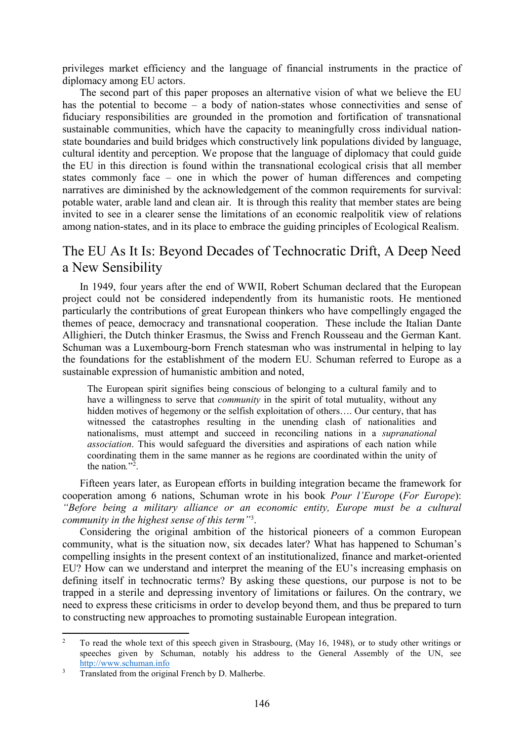privileges market efficiency and the language of financial instruments in the practice of diplomacy among EU actors.

The second part of this paper proposes an alternative vision of what we believe the EU has the potential to become – a body of nation-states whose connectivities and sense of fiduciary responsibilities are grounded in the promotion and fortification of transnational sustainable communities, which have the capacity to meaningfully cross individual nationstate boundaries and build bridges which constructively link populations divided by language, cultural identity and perception. We propose that the language of diplomacy that could guide the EU in this direction is found within the transnational ecological crisis that all member states commonly face – one in which the power of human differences and competing narratives are diminished by the acknowledgement of the common requirements for survival: potable water, arable land and clean air. It is through this reality that member states are being invited to see in a clearer sense the limitations of an economic realpolitik view of relations among nation-states, and in its place to embrace the guiding principles of Ecological Realism.

#### The EU As It Is: Beyond Decades of Technocratic Drift, A Deep Need a New Sensibility

In 1949, four years after the end of WWII, Robert Schuman declared that the European project could not be considered independently from its humanistic roots. He mentioned particularly the contributions of great European thinkers who have compellingly engaged the themes of peace, democracy and transnational cooperation. These include the Italian Dante Allighieri, the Dutch thinker Erasmus, the Swiss and French Rousseau and the German Kant. Schuman was a Luxembourg-born French statesman who was instrumental in helping to lay the foundations for the establishment of the modern EU. Schuman referred to Europe as a sustainable expression of humanistic ambition and noted,

The European spirit signifies being conscious of belonging to a cultural family and to have a willingness to serve that *community* in the spirit of total mutuality, without any hidden motives of hegemony or the selfish exploitation of others.... Our century, that has witnessed the catastrophes resulting in the unending clash of nationalities and nationalisms, must attempt and succeed in reconciling nations in a *supranational association*. This would safeguard the diversities and aspirations of each nation while coordinating them in the same manner as he regions are coordinated within the unity of the nation*.*"[2](#page-3-0) .

Fifteen years later, as European efforts in building integration became the framework for cooperation among 6 nations, Schuman wrote in his book *Pour l'Europe* (*For Europe*): *"Before being a military alliance or an economic entity, Europe must be a cultural community in the highest sense of this term"*[3](#page-3-1) .

Considering the original ambition of the historical pioneers of a common European community, what is the situation now, six decades later? What has happened to Schuman's compelling insights in the present context of an institutionalized, finance and market-oriented EU? How can we understand and interpret the meaning of the EU's increasing emphasis on defining itself in technocratic terms? By asking these questions, our purpose is not to be trapped in a sterile and depressing inventory of limitations or failures. On the contrary, we need to express these criticisms in order to develop beyond them, and thus be prepared to turn to constructing new approaches to promoting sustainable European integration.

<span id="page-3-0"></span><sup>2</sup> To read the whole text of this speech given in Strasbourg, (May 16, 1948), or to study other writings or speeches given by Schuman, notably his address to the General Assembly of the UN, see [http://www.schuman.info](http://www.schuman.info/)  $\overline{2}$ 

<span id="page-3-1"></span><sup>&</sup>lt;sup>3</sup> Translated from the original French by D. Malherbe.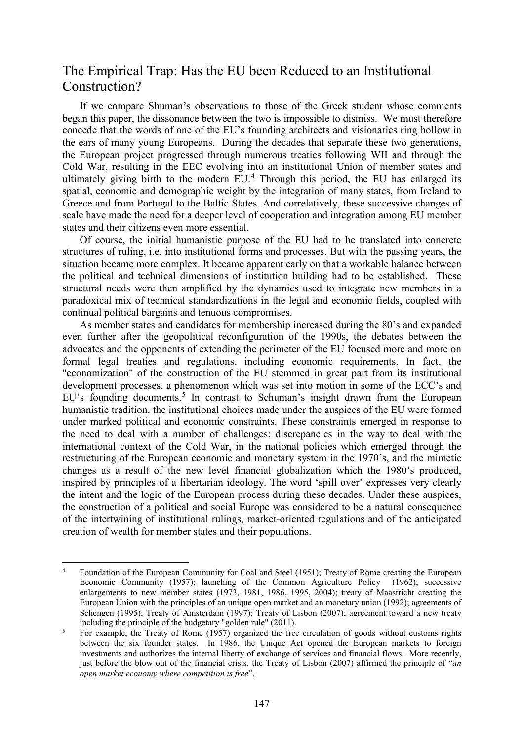### The Empirical Trap: Has the EU been Reduced to an Institutional Construction?

If we compare Shuman's observations to those of the Greek student whose comments began this paper, the dissonance between the two is impossible to dismiss. We must therefore concede that the words of one of the EU's founding architects and visionaries ring hollow in the ears of many young Europeans. During the decades that separate these two generations, the European project progressed through numerous treaties following WII and through the Cold War, resulting in the EEC evolving into an institutional Union of member states and ultimately giving birth to the modern  $EU<sup>4</sup>$  $EU<sup>4</sup>$  $EU<sup>4</sup>$ . Through this period, the EU has enlarged its spatial, economic and demographic weight by the integration of many states, from Ireland to Greece and from Portugal to the Baltic States. And correlatively, these successive changes of scale have made the need for a deeper level of cooperation and integration among EU member states and their citizens even more essential.

Of course, the initial humanistic purpose of the EU had to be translated into concrete structures of ruling, i.e. into institutional forms and processes. But with the passing years, the situation became more complex. It became apparent early on that a workable balance between the political and technical dimensions of institution building had to be established. These structural needs were then amplified by the dynamics used to integrate new members in a paradoxical mix of technical standardizations in the legal and economic fields, coupled with continual political bargains and tenuous compromises.

As member states and candidates for membership increased during the 80's and expanded even further after the geopolitical reconfiguration of the 1990s, the debates between the advocates and the opponents of extending the perimeter of the EU focused more and more on formal legal treaties and regulations, including economic requirements. In fact, the "economization" of the construction of the EU stemmed in great part from its institutional development processes, a phenomenon which was set into motion in some of the ECC's and EU's founding documents.<sup>[5](#page-4-1)</sup> In contrast to Schuman's insight drawn from the European humanistic tradition, the institutional choices made under the auspices of the EU were formed under marked political and economic constraints. These constraints emerged in response to the need to deal with a number of challenges: discrepancies in the way to deal with the international context of the Cold War, in the national policies which emerged through the restructuring of the European economic and monetary system in the 1970's, and the mimetic changes as a result of the new level financial globalization which the 1980's produced, inspired by principles of a libertarian ideology. The word 'spill over' expresses very clearly the intent and the logic of the European process during these decades. Under these auspices, the construction of a political and social Europe was considered to be a natural consequence of the intertwining of institutional rulings, market-oriented regulations and of the anticipated creation of wealth for member states and their populations.

 $\overline{a}$ 

<span id="page-4-0"></span><sup>4</sup> Foundation of the European Community for Coal and Steel (1951); Treaty of Rome creating the European Economic Community (1957); launching of the Common Agriculture Policy (1962); successive enlargements to new member states (1973, 1981, 1986, 1995, 2004); treaty of Maastricht creating the European Union with the principles of an unique open market and an monetary union (1992); agreements of Schengen (1995); Treaty of Amsterdam (1997); Treaty of Lisbon (2007); agreement toward a new treaty including the principle of the budgetary "golden rule" (2011).

<span id="page-4-1"></span><sup>&</sup>lt;sup>5</sup> For example, the Treaty of Rome (1957) organized the free circulation of goods without customs rights between the six founder states. In 1986, the Unique Act opened the European markets to foreign investments and authorizes the internal liberty of exchange of services and financial flows. More recently, just before the blow out of the financial crisis, the Treaty of Lisbon (2007) affirmed the principle of "*an open market economy where competition is free*".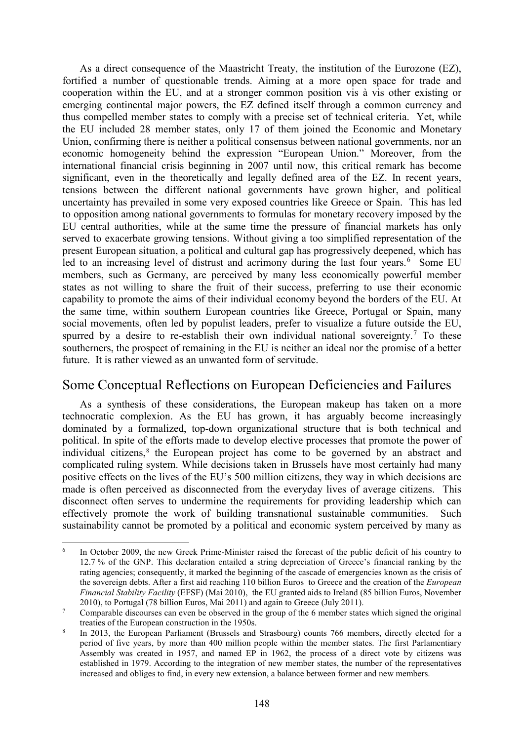As a direct consequence of the Maastricht Treaty, the institution of the Eurozone (EZ), fortified a number of questionable trends. Aiming at a more open space for trade and cooperation within the EU, and at a stronger common position vis à vis other existing or emerging continental major powers, the EZ defined itself through a common currency and thus compelled member states to comply with a precise set of technical criteria. Yet, while the EU included 28 member states, only 17 of them joined the Economic and Monetary Union, confirming there is neither a political consensus between national governments, nor an economic homogeneity behind the expression "European Union." Moreover, from the international financial crisis beginning in 2007 until now, this critical remark has become significant, even in the theoretically and legally defined area of the EZ. In recent years, tensions between the different national governments have grown higher, and political uncertainty has prevailed in some very exposed countries like Greece or Spain. This has led to opposition among national governments to formulas for monetary recovery imposed by the EU central authorities, while at the same time the pressure of financial markets has only served to exacerbate growing tensions. Without giving a too simplified representation of the present European situation, a political and cultural gap has progressively deepened, which has led to an increasing level of distrust and acrimony during the last four years.<sup>[6](#page-5-0)</sup> Some EU members, such as Germany, are perceived by many less economically powerful member states as not willing to share the fruit of their success, preferring to use their economic capability to promote the aims of their individual economy beyond the borders of the EU. At the same time, within southern European countries like Greece, Portugal or Spain, many social movements, often led by populist leaders, prefer to visualize a future outside the EU, spurred by a desire to re-establish their own individual national sovereignty.<sup>[7](#page-5-1)</sup> To these southerners, the prospect of remaining in the EU is neither an ideal nor the promise of a better future. It is rather viewed as an unwanted form of servitude.

## Some Conceptual Reflections on European Deficiencies and Failures

As a synthesis of these considerations, the European makeup has taken on a more technocratic complexion. As the EU has grown, it has arguably become increasingly dominated by a formalized, top-down organizational structure that is both technical and political. In spite of the efforts made to develop elective processes that promote the power of individual citizens, [8](#page-5-2) the European project has come to be governed by an abstract and complicated ruling system. While decisions taken in Brussels have most certainly had many positive effects on the lives of the EU's 500 million citizens, they way in which decisions are made is often perceived as disconnected from the everyday lives of average citizens. This disconnect often serves to undermine the requirements for providing leadership which can effectively promote the work of building transnational sustainable communities. Such sustainability cannot be promoted by a political and economic system perceived by many as

**.** 

<span id="page-5-0"></span><sup>&</sup>lt;sup>6</sup> In October 2009, the new Greek Prime-Minister raised the forecast of the public deficit of his country to 12.7 % of the GNP. This declaration entailed a string depreciation of Greece's financial ranking by the rating agencies; consequently, it marked the beginning of the cascade of emergencies known as the crisis of the sovereign debts. After a first aid reaching 110 billion Euros to Greece and the creation of the *European Financial Stability Facility* (EFSF) (Mai 2010), the EU granted aids to Ireland (85 billion Euros, November 2010), to Portugal (78 billion Euros, Mai 2011) and again to Greece (July 2011).

<span id="page-5-1"></span><sup>&</sup>lt;sup>7</sup> Comparable discourses can even be observed in the group of the 6 member states which signed the original treaties of the European construction in the 1950s.

<span id="page-5-2"></span>In 2013, the European Parliament (Brussels and Strasbourg) counts 766 members, directly elected for a period of five years, by more than 400 million people within the member states. The first Parlamentiary Assembly was created in 1957, and named EP in 1962, the process of a direct vote by citizens was established in 1979. According to the integration of new member states, the number of the representatives increased and obliges to find, in every new extension, a balance between former and new members.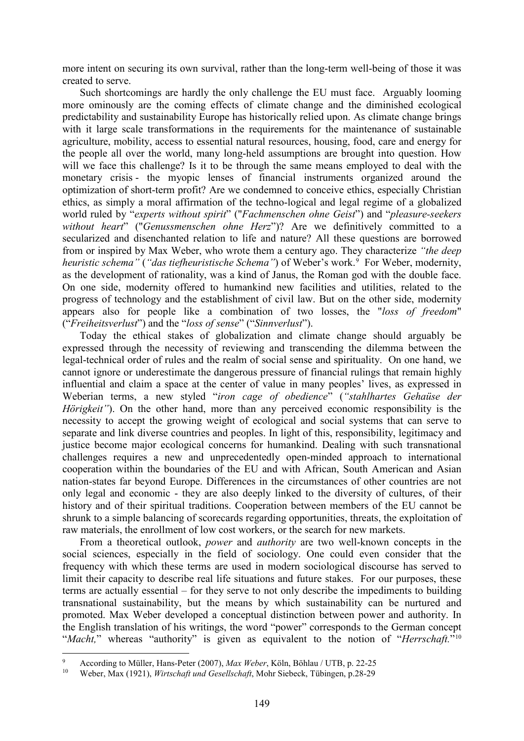more intent on securing its own survival, rather than the long-term well-being of those it was created to serve.

Such shortcomings are hardly the only challenge the EU must face. Arguably looming more ominously are the coming effects of climate change and the diminished ecological predictability and sustainability Europe has historically relied upon. As climate change brings with it large scale transformations in the requirements for the maintenance of sustainable agriculture, mobility, access to essential natural resources, housing, food, care and energy for the people all over the world, many long-held assumptions are brought into question. How will we face this challenge? Is it to be through the same means employed to deal with the monetary crisis - the myopic lenses of financial instruments organized around the optimization of short-term profit? Are we condemned to conceive ethics, especially Christian ethics, as simply a moral affirmation of the techno-logical and legal regime of a globalized world ruled by "*experts without spirit*" ("*Fachmenschen ohne Geist*") and "*pleasure-seekers without heart*" ("*Genussmenschen ohne Herz*")? Are we definitively committed to a secularized and disenchanted relation to life and nature? All these questions are borrowed from or inspired by Max Weber, who wrote them a century ago. They characterize *"the deep*  heuristic schema" ("das tiefheuristische Schema") of Weber's work.<sup>[9](#page-6-0)</sup> For Weber, modernity, as the development of rationality, was a kind of Janus, the Roman god with the double face. On one side, modernity offered to humankind new facilities and utilities, related to the progress of technology and the establishment of civil law. But on the other side, modernity appears also for people like a combination of two losses, the "*loss of freedom*" ("*Freiheitsverlust*") and the "*loss of sense*" ("*Sinnverlust*").

Today the ethical stakes of globalization and climate change should arguably be expressed through the necessity of reviewing and transcending the dilemma between the legal-technical order of rules and the realm of social sense and spirituality. On one hand, we cannot ignore or underestimate the dangerous pressure of financial rulings that remain highly influential and claim a space at the center of value in many peoples' lives, as expressed in Weberian terms, a new styled "*iron cage of obedience*" (*"stahlhartes Gehaüse der Hörigkeit"*). On the other hand, more than any perceived economic responsibility is the necessity to accept the growing weight of ecological and social systems that can serve to separate and link diverse countries and peoples. In light of this, responsibility, legitimacy and justice become major ecological concerns for humankind. Dealing with such transnational challenges requires a new and unprecedentedly open-minded approach to international cooperation within the boundaries of the EU and with African, South American and Asian nation-states far beyond Europe. Differences in the circumstances of other countries are not only legal and economic - they are also deeply linked to the diversity of cultures, of their history and of their spiritual traditions. Cooperation between members of the EU cannot be shrunk to a simple balancing of scorecards regarding opportunities, threats, the exploitation of raw materials, the enrollment of low cost workers, or the search for new markets.

From a theoretical outlook, *power* and *authority* are two well-known concepts in the social sciences, especially in the field of sociology. One could even consider that the frequency with which these terms are used in modern sociological discourse has served to limit their capacity to describe real life situations and future stakes. For our purposes, these terms are actually essential – for they serve to not only describe the impediments to building transnational sustainability, but the means by which sustainability can be nurtured and promoted. Max Weber developed a conceptual distinction between power and authority. In the English translation of his writings, the word "power" corresponds to the German concept "*Macht*," whereas "authority" is given as equivalent to the notion of "*Herrschaft*."<sup>[10](#page-6-1)</sup>

 $\overline{a}$ 

<span id="page-6-0"></span><sup>9</sup> According to Müller, Hans-Peter (2007), *Max Weber*, Köln, Böhlau / UTB, p. 22-25

<span id="page-6-1"></span><sup>10</sup> Weber, Max (1921), *Wirtschaft und Gesellschaft*, Mohr Siebeck, Tübingen, p.28-29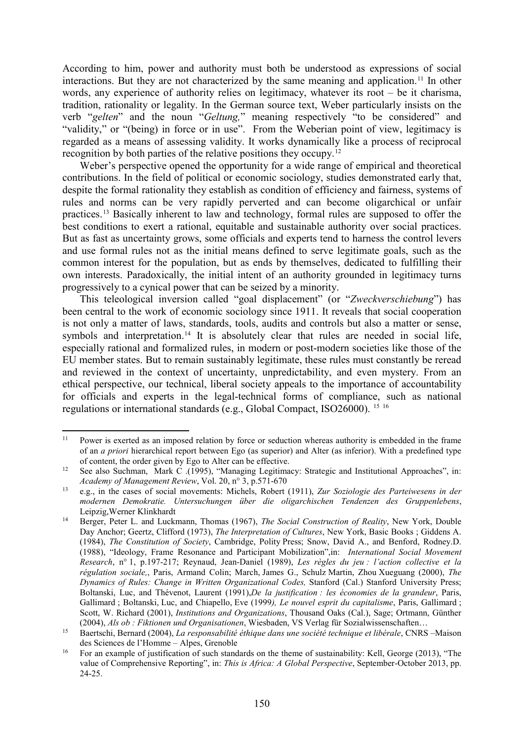According to him, power and authority must both be understood as expressions of social interactions. But they are not characterized by the same meaning and application.<sup>[11](#page-7-0)</sup> In other words, any experience of authority relies on legitimacy, whatever its root – be it charisma, tradition, rationality or legality. In the German source text, Weber particularly insists on the verb "*gelten*" and the noun "*Geltung,*" meaning respectively "to be considered" and "validity," or "(being) in force or in use". From the Weberian point of view, legitimacy is regarded as a means of assessing validity. It works dynamically like a process of reciprocal recognition by both parties of the relative positions they occupy.[12](#page-7-1)

Weber's perspective opened the opportunity for a wide range of empirical and theoretical contributions. In the field of political or economic sociology, studies demonstrated early that, despite the formal rationality they establish as condition of efficiency and fairness, systems of rules and norms can be very rapidly perverted and can become oligarchical or unfair practices.[13](#page-7-2) Basically inherent to law and technology, formal rules are supposed to offer the best conditions to exert a rational, equitable and sustainable authority over social practices. But as fast as uncertainty grows, some officials and experts tend to harness the control levers and use formal rules not as the initial means defined to serve legitimate goals, such as the common interest for the population, but as ends by themselves, dedicated to fulfilling their own interests. Paradoxically, the initial intent of an authority grounded in legitimacy turns progressively to a cynical power that can be seized by a minority.

This teleological inversion called "goal displacement" (or "*Zweckverschiebung*") has been central to the work of economic sociology since 1911. It reveals that social cooperation is not only a matter of laws, standards, tools, audits and controls but also a matter or sense, symbols and interpretation.<sup>[14](#page-7-3)</sup> It is absolutely clear that rules are needed in social life, especially rational and formalized rules, in modern or post-modern societies like those of the EU member states. But to remain sustainably legitimate, these rules must constantly be reread and reviewed in the context of uncertainty, unpredictability, and even mystery. From an ethical perspective, our technical, liberal society appeals to the importance of accountability for officials and experts in the legal-technical forms of compliance, such as national regulations or international standards (e.g., Global Compact, ISO26000). [15](#page-7-4) [16](#page-7-5)

<span id="page-7-0"></span>Power is exerted as an imposed relation by force or seduction whereas authority is embedded in the frame of an *a priori* hierarchical report between Ego (as superior) and Alter (as inferior). With a predefined type of content, the order given by Ego to Alter can be effective.  $11$ 

<span id="page-7-1"></span><sup>12</sup> See also Suchman, Mark C .(1995), "Managing Legitimacy: Strategic and Institutional Approaches", in: *Academy of Management Review*, Vol. 20, n° 3, p.571-670

<span id="page-7-2"></span><sup>13</sup> e.g., in the cases of social movements: Michels, Robert (1911), *Zur Soziologie des Parteiwesens in der modernen Demokratie. Untersuchungen über die oligarchischen Tendenzen des Gruppenlebens*, Leipzig,Werner Klinkhardt

<span id="page-7-3"></span><sup>14</sup> Berger, Peter L. and Luckmann, Thomas (1967), *The Social Construction of Reality*, New York, Double Day Anchor; Geertz, Clifford (1973), *The Interpretation of Cultures*, New York, Basic Books ; Giddens A. (1984), *The Constitution of Society*, Cambridge, Polity Press; Snow, David A., and Benford, Rodney.D. (1988), "Ideology, Frame Resonance and Participant Mobilization",in: *International Social Movement Research*, n° 1, p.197-217; Reynaud, Jean-Daniel (1989), *Les règles du jeu : l'action collective et la régulation sociale,*, Paris, Armand Colin; March, James G., Schulz Martin, Zhou Xueguang (2000), *The Dynamics of Rules: Change in Written Organizational Codes,* Stanford (Cal.) Stanford University Press; Boltanski, Luc, and Thévenot, Laurent (1991),*De la justification : les économies de la grandeur*, Paris, Gallimard ; Boltanski, Luc, and Chiapello, Eve (1999*), Le nouvel esprit du capitalisme*, Paris, Gallimard ; Scott, W. Richard (2001), *Institutions and Organizations*, Thousand Oaks (Cal.), Sage; Ortmann, Günther (2004), *Als ob : Fiktionen und Organisationen*, Wiesbaden, VS Verlag für Sozialwissenschaften…

<span id="page-7-4"></span><sup>15</sup> Baertschi, Bernard (2004), *La responsabilité éthique dans une société technique et libérale*, CNRS –Maison des Sciences de l'Homme – Alpes, Grenoble

<span id="page-7-5"></span><sup>&</sup>lt;sup>16</sup> For an example of justification of such standards on the theme of sustainability: Kell, George (2013), "The value of Comprehensive Reporting", in: *This is Africa: A Global Perspective*, September-October 2013, pp. 24-25.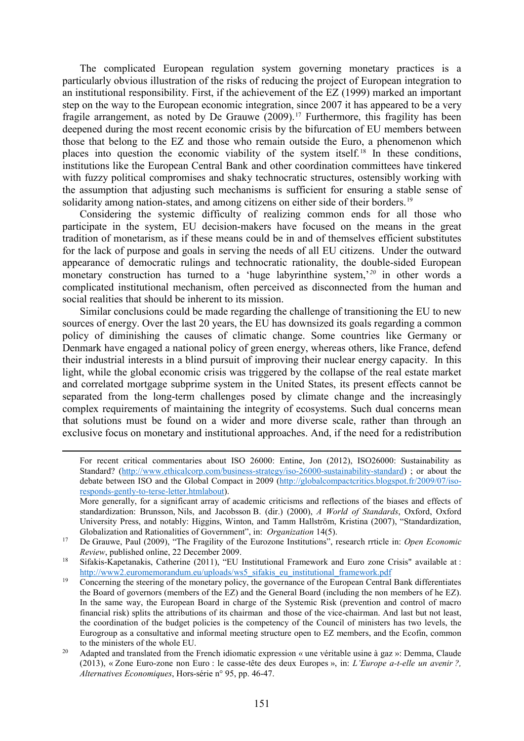The complicated European regulation system governing monetary practices is a particularly obvious illustration of the risks of reducing the project of European integration to an institutional responsibility. First, if the achievement of the EZ (1999) marked an important step on the way to the European economic integration, since 2007 it has appeared to be a very fragile arrangement, as noted by De Grauwe (2009). [17](#page-8-0) Furthermore, this fragility has been deepened during the most recent economic crisis by the bifurcation of EU members between those that belong to the EZ and those who remain outside the Euro, a phenomenon which places into question the economic viability of the system itself.[18](#page-8-1) In these conditions, institutions like the European Central Bank and other coordination committees have tinkered with fuzzy political compromises and shaky technocratic structures, ostensibly working with the assumption that adjusting such mechanisms is sufficient for ensuring a stable sense of solidarity among nation-states, and among citizens on either side of their borders.<sup>[19](#page-8-2)</sup>

Considering the systemic difficulty of realizing common ends for all those who participate in the system, EU decision-makers have focused on the means in the great tradition of monetarism, as if these means could be in and of themselves efficient substitutes for the lack of purpose and goals in serving the needs of all EU citizens. Under the outward appearance of democratic rulings and technocratic rationality, the double-sided European monetary construction has turned to a 'huge labyrinthine system,'*[20](#page-8-3)* in other words a complicated institutional mechanism, often perceived as disconnected from the human and social realities that should be inherent to its mission.

Similar conclusions could be made regarding the challenge of transitioning the EU to new sources of energy. Over the last 20 years, the EU has downsized its goals regarding a common policy of diminishing the causes of climatic change. Some countries like Germany or Denmark have engaged a national policy of green energy, whereas others, like France, defend their industrial interests in a blind pursuit of improving their nuclear energy capacity. In this light, while the global economic crisis was triggered by the collapse of the real estate market and correlated mortgage subprime system in the United States, its present effects cannot be separated from the long-term challenges posed by climate change and the increasingly complex requirements of maintaining the integrity of ecosystems. Such dual concerns mean that solutions must be found on a wider and more diverse scale, rather than through an exclusive focus on monetary and institutional approaches. And, if the need for a redistribution

**.** 

For recent critical commentaries about ISO 26000: Entine, Jon (2012), ISO26000: Sustainability as Standard? [\(http://www.ethicalcorp.com/business-strategy/iso-26000-sustainability-standard\)](http://www.ethicalcorp.com/business-strategy/iso-26000-sustainability-standard); or about the debate between ISO and the Global Compact in 2009 [\(http://globalcompactcritics.blogspot.fr/2009/07/iso](http://globalcompactcritics.blogspot.fr/2009/07/iso-responds-gently-to-terse-letter.htmlabout)[responds-gently-to-terse-letter.htmlabout\)](http://globalcompactcritics.blogspot.fr/2009/07/iso-responds-gently-to-terse-letter.htmlabout).

More generally, for a significant array of academic criticisms and reflections of the biases and effects of standardization: Brunsson, Nils, and Jacobsson B. (dir.) (2000), *A World of Standards*, Oxford, Oxford University Press, and notably: Higgins, Winton, and Tamm Hallström, Kristina (2007), "Standardization, Globalization and Rationalities of Government", in: *Organization* 14(5).

<span id="page-8-0"></span><sup>17</sup> De Grauwe, Paul (2009), "The Fragility of the Eurozone Institutions", research rrticle in: *Open Economic Review*, published online, 22 December 2009.

<span id="page-8-1"></span><sup>&</sup>lt;sup>18</sup> Sifakis-Kapetanakis, Catherine (2011), "EU Institutional Framework and Euro zone Crisis" available at : [http://www2.euromemorandum.eu/uploads/ws5\\_sifakis\\_eu\\_institutional\\_framework.pdf](http://www2.euromemorandum.eu/uploads/ws5_sifakis_eu_institutional_framework.pdf)

<span id="page-8-2"></span><sup>&</sup>lt;sup>19</sup> Concerning the steering of the monetary policy, the governance of the European Central Bank differentiates the Board of governors (members of the EZ) and the General Board (including the non members of he EZ). In the same way, the European Board in charge of the Systemic Risk (prevention and control of macro financial risk) splits the attributions of its chairman and those of the vice-chairman. And last but not least, the coordination of the budget policies is the competency of the Council of ministers has two levels, the Eurogroup as a consultative and informal meeting structure open to EZ members, and the Ecofin, common to the ministers of the whole EU.

<span id="page-8-3"></span><sup>&</sup>lt;sup>20</sup> Adapted and translated from the French idiomatic expression « une véritable usine à gaz »: Demma, Claude (2013), « Zone Euro-zone non Euro : le casse-tête des deux Europes », in: *L'Europe a-t-elle un avenir ?, Alternatives Economiques*, Hors-série n° 95, pp. 46-47.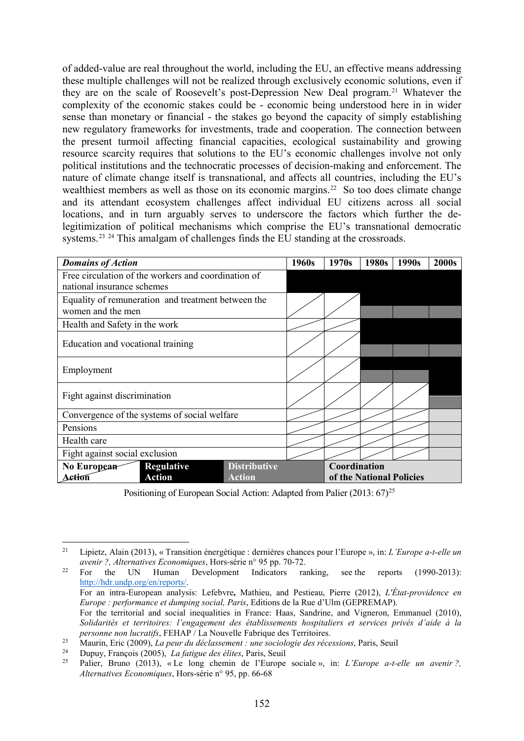of added-value are real throughout the world, including the EU, an effective means addressing these multiple challenges will not be realized through exclusively economic solutions, even if they are on the scale of Roosevelt's post-Depression New Deal program.[21](#page-9-0) Whatever the complexity of the economic stakes could be - economic being understood here in in wider sense than monetary or financial - the stakes go beyond the capacity of simply establishing new regulatory frameworks for investments, trade and cooperation. The connection between the present turmoil affecting financial capacities, ecological sustainability and growing resource scarcity requires that solutions to the EU's economic challenges involve not only political institutions and the technocratic processes of decision-making and enforcement. The nature of climate change itself is transnational, and affects all countries, including the EU's wealthiest members as well as those on its economic margins.<sup>22</sup> So too does climate change and its attendant ecosystem challenges affect individual EU citizens across all social locations, and in turn arguably serves to underscore the factors which further the delegitimization of political mechanisms which comprise the EU's transnational democratic systems.<sup>[23](#page-9-2) [24](#page-9-3)</sup> This amalgam of challenges finds the EU standing at the crossroads.

| <b>Domains of Action</b>                                                          |  |  | 1960s                    | 1970s        | 1980s | 1990s | 2000s |
|-----------------------------------------------------------------------------------|--|--|--------------------------|--------------|-------|-------|-------|
| Free circulation of the workers and coordination of<br>national insurance schemes |  |  |                          |              |       |       |       |
| Equality of remuneration and treatment between the<br>women and the men           |  |  |                          |              |       |       |       |
| Health and Safety in the work                                                     |  |  |                          |              |       |       |       |
| Education and vocational training                                                 |  |  |                          |              |       |       |       |
| Employment                                                                        |  |  |                          |              |       |       |       |
| Fight against discrimination                                                      |  |  |                          |              |       |       |       |
| Convergence of the systems of social welfare                                      |  |  |                          |              |       |       |       |
| Pensions                                                                          |  |  |                          |              |       |       |       |
| Health care                                                                       |  |  |                          |              |       |       |       |
| Fight against social exclusion                                                    |  |  |                          |              |       |       |       |
| <b>Distributive</b><br>No European<br><b>Regulative</b>                           |  |  |                          | Coordination |       |       |       |
| <b>Action</b><br><b>Action</b><br>Action                                          |  |  | of the National Policies |              |       |       |       |

Positioning of European Social Action: Adapted from Palier  $(2013: 67)^{25}$  $(2013: 67)^{25}$  $(2013: 67)^{25}$ 

<span id="page-9-0"></span><sup>21</sup> Lipietz, Alain (2013), « Transition énergétique : dernières chances pour l'Europe », in: *L'Europe a-t-elle un avenir ?, Alternatives Economiques*, Hors-série n° 95 pp. 70-72. **.** 

<span id="page-9-1"></span><sup>&</sup>lt;sup>22</sup> For the UN Human Development Indicators ranking, see the reports  $(1990-2013)$ : [http://hdr.undp.org/en/reports/.](http://hdr.undp.org/en/reports/) For an intra-European analysis: Lefebvre**,** Mathieu, and Pestieau, Pierre (2012), *L'État-providence en Europe : performance et dumping social, Paris*, Editions de la Rue d'Ulm (GEPREMAP). For the territorial and social inequalities in France: Haas, Sandrine, and Vigneron, Emmanuel (2010), *Solidarités et territoires: l'engagement des établissements hospitaliers et services privés d'aide à la personne non lucratifs*, FEHAP / La Nouvelle Fabrique des Territoires.

<span id="page-9-2"></span><sup>23</sup> Maurin, Eric (2009), *La peur du déclassement : une sociologie des récessions*, Paris, Seuil<br>24 Diministration (2005), *La fatigue des élites* Paris, Seuil

<span id="page-9-4"></span><span id="page-9-3"></span><sup>24</sup> Dupuy, François (2005), *La fatigue des élites*, Paris, Seuil

<sup>25</sup> Palier, Bruno (2013), « Le long chemin de l'Europe sociale », in: *L'Europe a-t-elle un avenir ?, Alternatives Economiques*, Hors-série n° 95, pp. 66-68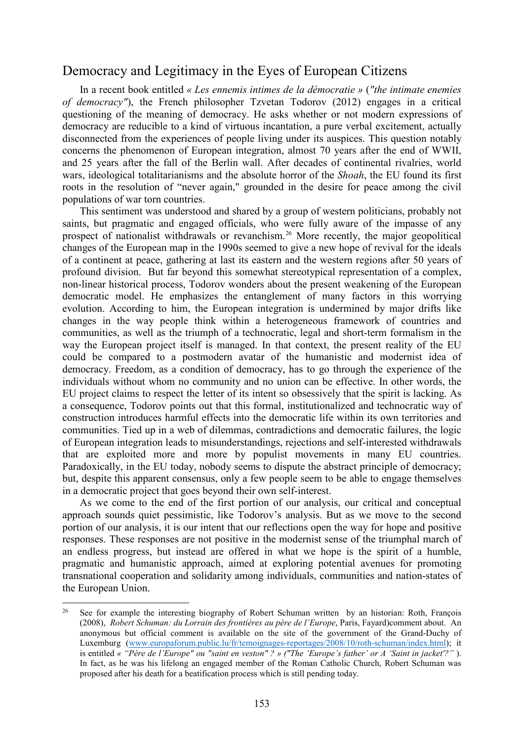#### Democracy and Legitimacy in the Eyes of European Citizens

In a recent book entitled *« Les ennemis intimes de la démocratie »* (*"the intimate enemies of democracy"*), the French philosopher Tzvetan Todorov (2012) engages in a critical questioning of the meaning of democracy. He asks whether or not modern expressions of democracy are reducible to a kind of virtuous incantation, a pure verbal excitement, actually disconnected from the experiences of people living under its auspices. This question notably concerns the phenomenon of European integration, almost 70 years after the end of WWII, and 25 years after the fall of the Berlin wall. After decades of continental rivalries, world wars, ideological totalitarianisms and the absolute horror of the *Shoah*, the EU found its first roots in the resolution of "never again," grounded in the desire for peace among the civil populations of war torn countries.

This sentiment was understood and shared by a group of western politicians, probably not saints, but pragmatic and engaged officials, who were fully aware of the impasse of any prospect of nationalist withdrawals or revanchism. [26](#page-10-0) More recently, the major geopolitical changes of the European map in the 1990s seemed to give a new hope of revival for the ideals of a continent at peace, gathering at last its eastern and the western regions after 50 years of profound division. But far beyond this somewhat stereotypical representation of a complex, non-linear historical process, Todorov wonders about the present weakening of the European democratic model. He emphasizes the entanglement of many factors in this worrying evolution. According to him, the European integration is undermined by major drifts like changes in the way people think within a heterogeneous framework of countries and communities, as well as the triumph of a technocratic, legal and short-term formalism in the way the European project itself is managed. In that context, the present reality of the EU could be compared to a postmodern avatar of the humanistic and modernist idea of democracy. Freedom, as a condition of democracy, has to go through the experience of the individuals without whom no community and no union can be effective. In other words, the EU project claims to respect the letter of its intent so obsessively that the spirit is lacking. As a consequence, Todorov points out that this formal, institutionalized and technocratic way of construction introduces harmful effects into the democratic life within its own territories and communities. Tied up in a web of dilemmas, contradictions and democratic failures, the logic of European integration leads to misunderstandings, rejections and self-interested withdrawals that are exploited more and more by populist movements in many EU countries. Paradoxically, in the EU today, nobody seems to dispute the abstract principle of democracy; but, despite this apparent consensus, only a few people seem to be able to engage themselves in a democratic project that goes beyond their own self-interest.

As we come to the end of the first portion of our analysis, our critical and conceptual approach sounds quiet pessimistic, like Todorov's analysis. But as we move to the second portion of our analysis, it is our intent that our reflections open the way for hope and positive responses. These responses are not positive in the modernist sense of the triumphal march of an endless progress, but instead are offered in what we hope is the spirit of a humble, pragmatic and humanistic approach, aimed at exploring potential avenues for promoting transnational cooperation and solidarity among individuals, communities and nation-states of the European Union.

<span id="page-10-0"></span><sup>26</sup> See for example the interesting biography of Robert Schuman written by an historian: Roth, François (2008), *Robert Schuman: du Lorrain des frontières au père de l'Europe*, Paris, Fayard)comment about. An anonymous but official comment is available on the site of the government of the Grand-Duchy of Luxemburg [\(www.europaforum.public.lu/fr/temoignages-reportages/2008/10/roth-schuman/index.html\)](http://www.europaforum.public.lu/fr/temoignages-reportages/2008/10/roth-schuman/index.html); it is entitled *« "Père de l'Europe" ou "saint en veston" ? » ("The 'Europe's father' or A 'Saint in jacket'?"* ). In fact, as he was his lifelong an engaged member of the Roman Catholic Church, Robert Schuman was proposed after his death for a beatification process which is still pending today.  $26$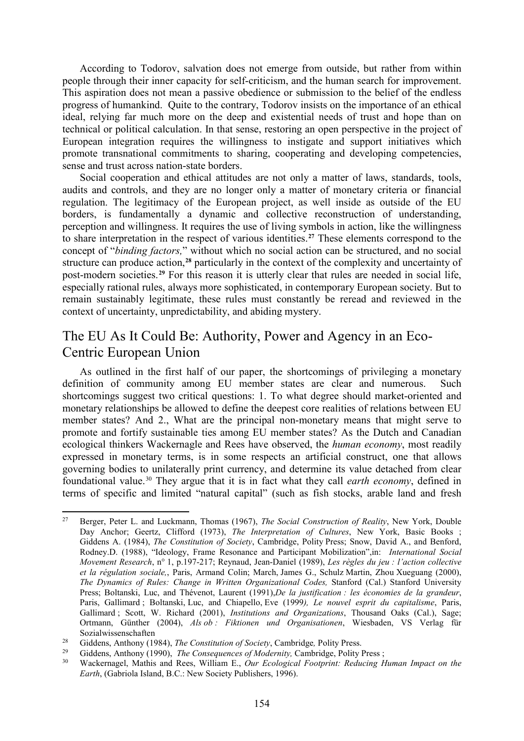According to Todorov, salvation does not emerge from outside, but rather from within people through their inner capacity for self-criticism, and the human search for improvement. This aspiration does not mean a passive obedience or submission to the belief of the endless progress of humankind. Quite to the contrary, Todorov insists on the importance of an ethical ideal, relying far much more on the deep and existential needs of trust and hope than on technical or political calculation. In that sense, restoring an open perspective in the project of European integration requires the willingness to instigate and support initiatives which promote transnational commitments to sharing, cooperating and developing competencies, sense and trust across nation-state borders.

Social cooperation and ethical attitudes are not only a matter of laws, standards, tools, audits and controls, and they are no longer only a matter of monetary criteria or financial regulation. The legitimacy of the European project, as well inside as outside of the EU borders, is fundamentally a dynamic and collective reconstruction of understanding, perception and willingness. It requires the use of living symbols in action, like the willingness to share interpretation in the respect of various identities.**[27](#page-11-0)** These elements correspond to the concept of "*binding factors,*" without which no social action can be structured, and no social structure can produce action,**[28](#page-11-1)** particularly in the context of the complexity and uncertainty of post-modern societies. **[29](#page-11-2)** For this reason it is utterly clear that rules are needed in social life, especially rational rules, always more sophisticated, in contemporary European society. But to remain sustainably legitimate, these rules must constantly be reread and reviewed in the context of uncertainty, unpredictability, and abiding mystery.

#### The EU As It Could Be: Authority, Power and Agency in an Eco-Centric European Union

As outlined in the first half of our paper, the shortcomings of privileging a monetary definition of community among EU member states are clear and numerous. Such shortcomings suggest two critical questions: 1. To what degree should market-oriented and monetary relationships be allowed to define the deepest core realities of relations between EU member states? And 2., What are the principal non-monetary means that might serve to promote and fortify sustainable ties among EU member states? As the Dutch and Canadian ecological thinkers Wackernagle and Rees have observed, the *human economy*, most readily expressed in monetary terms, is in some respects an artificial construct, one that allows governing bodies to unilaterally print currency, and determine its value detached from clear foundational value.[30](#page-11-3) They argue that it is in fact what they call *earth economy*, defined in terms of specific and limited "natural capital" (such as fish stocks, arable land and fresh

<span id="page-11-0"></span><sup>27</sup> Berger, Peter L. and Luckmann, Thomas (1967), *The Social Construction of Reality*, New York, Double Day Anchor; Geertz, Clifford (1973), *The Interpretation of Cultures*, New York, Basic Books ; Giddens A. (1984), *The Constitution of Society*, Cambridge, Polity Press; Snow, David A., and Benford, Rodney.D. (1988), "Ideology, Frame Resonance and Participant Mobilization",in: *International Social Movement Research*, n° 1, p.197-217; Reynaud, Jean-Daniel (1989), *Les règles du jeu : l'action collective et la régulation sociale,*, Paris, Armand Colin; March, James G., Schulz Martin, Zhou Xueguang (2000), *The Dynamics of Rules: Change in Written Organizational Codes,* Stanford (Cal.) Stanford University Press; Boltanski, Luc, and Thévenot, Laurent (1991),*De la justification : les économies de la grandeur*, Paris, Gallimard ; Boltanski, Luc, and Chiapello, Eve (1999*), Le nouvel esprit du capitalisme*, Paris, Gallimard ; Scott, W. Richard (2001), *Institutions and Organizations*, Thousand Oaks (Cal.), Sage; Ortmann, Günther (2004), *Als ob : Fiktionen und Organisationen*, Wiesbaden, VS Verlag für Sozialwissenschaften  $27$ 

<span id="page-11-1"></span><sup>28</sup> Giddens, Anthony (1984), *The Constitution of Society*, Cambridge*,* Polity Press.

<span id="page-11-3"></span><span id="page-11-2"></span><sup>&</sup>lt;sup>29</sup> Giddens, Anthony (1990), *The Consequences of Modernity*, Cambridge, Polity Press ;<br><sup>30</sup> Washermanel, Mathis and Pees, William E., Our Feelogical Footnrint; Peducing H

<sup>30</sup> Wackernagel, Mathis and Rees, William E., *Our Ecological Footprint: Reducing Human Impact on the Earth*, (Gabriola Island, B.C.: New Society Publishers, 1996).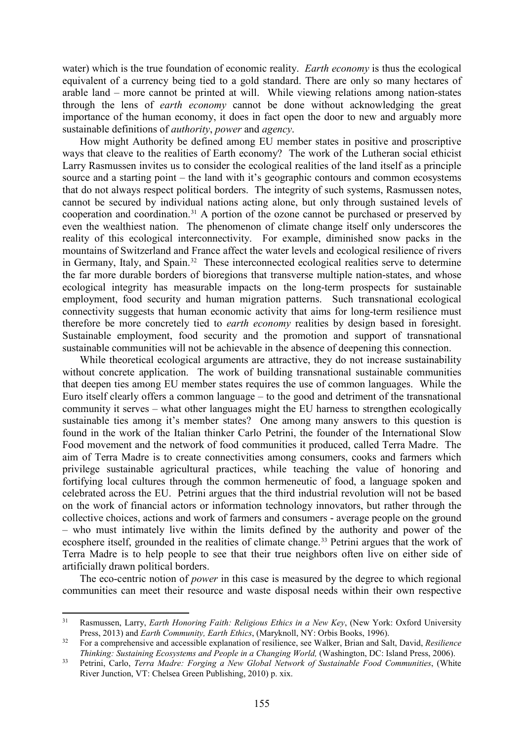water) which is the true foundation of economic reality. *Earth economy* is thus the ecological equivalent of a currency being tied to a gold standard. There are only so many hectares of arable land – more cannot be printed at will. While viewing relations among nation-states through the lens of *earth economy* cannot be done without acknowledging the great importance of the human economy, it does in fact open the door to new and arguably more sustainable definitions of *authority*, *power* and *agency*.

How might Authority be defined among EU member states in positive and proscriptive ways that cleave to the realities of Earth economy? The work of the Lutheran social ethicist Larry Rasmussen invites us to consider the ecological realities of the land itself as a principle source and a starting point – the land with it's geographic contours and common ecosystems that do not always respect political borders. The integrity of such systems, Rasmussen notes, cannot be secured by individual nations acting alone, but only through sustained levels of cooperation and coordination.[31](#page-12-0) A portion of the ozone cannot be purchased or preserved by even the wealthiest nation. The phenomenon of climate change itself only underscores the reality of this ecological interconnectivity. For example, diminished snow packs in the mountains of Switzerland and France affect the water levels and ecological resilience of rivers in Germany, Italy, and Spain. [32](#page-12-1) These interconnected ecological realities serve to determine the far more durable borders of bioregions that transverse multiple nation-states, and whose ecological integrity has measurable impacts on the long-term prospects for sustainable employment, food security and human migration patterns. Such transnational ecological connectivity suggests that human economic activity that aims for long-term resilience must therefore be more concretely tied to *earth economy* realities by design based in foresight. Sustainable employment, food security and the promotion and support of transnational sustainable communities will not be achievable in the absence of deepening this connection.

While theoretical ecological arguments are attractive, they do not increase sustainability without concrete application. The work of building transnational sustainable communities that deepen ties among EU member states requires the use of common languages. While the Euro itself clearly offers a common language – to the good and detriment of the transnational community it serves – what other languages might the EU harness to strengthen ecologically sustainable ties among it's member states? One among many answers to this question is found in the work of the Italian thinker Carlo Petrini, the founder of the International Slow Food movement and the network of food communities it produced, called Terra Madre. The aim of Terra Madre is to create connectivities among consumers, cooks and farmers which privilege sustainable agricultural practices, while teaching the value of honoring and fortifying local cultures through the common hermeneutic of food, a language spoken and celebrated across the EU. Petrini argues that the third industrial revolution will not be based on the work of financial actors or information technology innovators, but rather through the collective choices, actions and work of farmers and consumers - average people on the ground – who must intimately live within the limits defined by the authority and power of the ecosphere itself, grounded in the realities of climate change.<sup>[33](#page-12-2)</sup> Petrini argues that the work of Terra Madre is to help people to see that their true neighbors often live on either side of artificially drawn political borders.

The eco-centric notion of *power* in this case is measured by the degree to which regional communities can meet their resource and waste disposal needs within their own respective

<span id="page-12-0"></span><sup>31</sup> Rasmussen, Larry, *Earth Honoring Faith: Religious Ethics in a New Key*, (New York: Oxford University Press, 2013) and *Earth Community, Earth Ethics*, (Maryknoll, NY: Orbis Books, 1996).  $31$ 

<span id="page-12-1"></span><sup>32</sup> For a comprehensive and accessible explanation of resilience, see Walker, Brian and Salt, David, *Resilience Thinking: Sustaining Ecosystems and People in a Changing World,* (Washington, DC: Island Press, 2006).

<span id="page-12-2"></span><sup>33</sup> Petrini, Carlo, *Terra Madre: Forging a New Global Network of Sustainable Food Communities*, (White River Junction, VT: Chelsea Green Publishing, 2010) p. xix.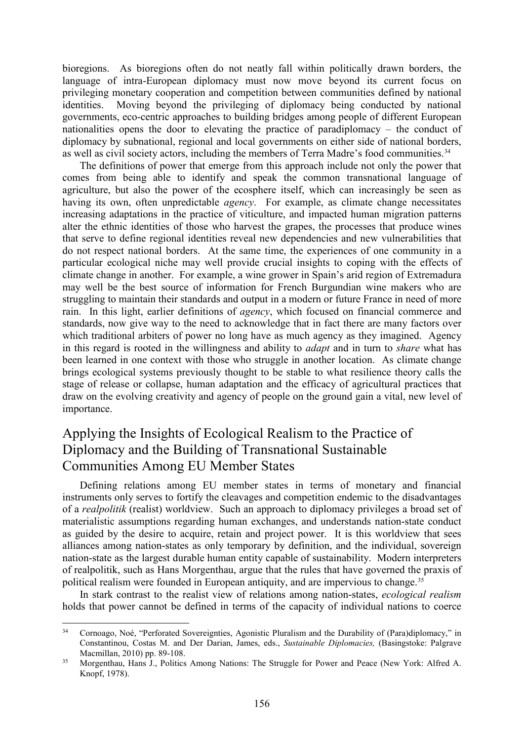bioregions. As bioregions often do not neatly fall within politically drawn borders, the language of intra-European diplomacy must now move beyond its current focus on privileging monetary cooperation and competition between communities defined by national identities. Moving beyond the privileging of diplomacy being conducted by national governments, eco-centric approaches to building bridges among people of different European nationalities opens the door to elevating the practice of paradiplomacy – the conduct of diplomacy by subnational, regional and local governments on either side of national borders, as well as civil society actors, including the members of Terra Madre's food communities.<sup>[34](#page-13-0)</sup>

The definitions of power that emerge from this approach include not only the power that comes from being able to identify and speak the common transnational language of agriculture, but also the power of the ecosphere itself, which can increasingly be seen as having its own, often unpredictable *agency*. For example, as climate change necessitates increasing adaptations in the practice of viticulture, and impacted human migration patterns alter the ethnic identities of those who harvest the grapes, the processes that produce wines that serve to define regional identities reveal new dependencies and new vulnerabilities that do not respect national borders. At the same time, the experiences of one community in a particular ecological niche may well provide crucial insights to coping with the effects of climate change in another. For example, a wine grower in Spain's arid region of Extremadura may well be the best source of information for French Burgundian wine makers who are struggling to maintain their standards and output in a modern or future France in need of more rain. In this light, earlier definitions of *agency*, which focused on financial commerce and standards, now give way to the need to acknowledge that in fact there are many factors over which traditional arbiters of power no long have as much agency as they imagined. Agency in this regard is rooted in the willingness and ability to *adapt* and in turn to *share* what has been learned in one context with those who struggle in another location. As climate change brings ecological systems previously thought to be stable to what resilience theory calls the stage of release or collapse, human adaptation and the efficacy of agricultural practices that draw on the evolving creativity and agency of people on the ground gain a vital, new level of importance.

## Applying the Insights of Ecological Realism to the Practice of Diplomacy and the Building of Transnational Sustainable Communities Among EU Member States

Defining relations among EU member states in terms of monetary and financial instruments only serves to fortify the cleavages and competition endemic to the disadvantages of a *realpolitik* (realist) worldview. Such an approach to diplomacy privileges a broad set of materialistic assumptions regarding human exchanges, and understands nation-state conduct as guided by the desire to acquire, retain and project power. It is this worldview that sees alliances among nation-states as only temporary by definition, and the individual, sovereign nation-state as the largest durable human entity capable of sustainability. Modern interpreters of realpolitik, such as Hans Morgenthau, argue that the rules that have governed the praxis of political realism were founded in European antiquity, and are impervious to change.<sup>[35](#page-13-1)</sup>

In stark contrast to the realist view of relations among nation-states, *ecological realism* holds that power cannot be defined in terms of the capacity of individual nations to coerce

<span id="page-13-0"></span><sup>34</sup> Cornoago, Noé, "Perforated Sovereignties, Agonistic Pluralism and the Durability of (Para)diplomacy," in Constantinou, Costas M. and Der Darian, James, eds., *Sustainable Diplomacies,* (Basingstoke: Palgrave Macmillan, 2010) pp. 89-108.  $34$ 

<span id="page-13-1"></span><sup>35</sup> Morgenthau, Hans J., Politics Among Nations: The Struggle for Power and Peace (New York: Alfred A. Knopf, 1978).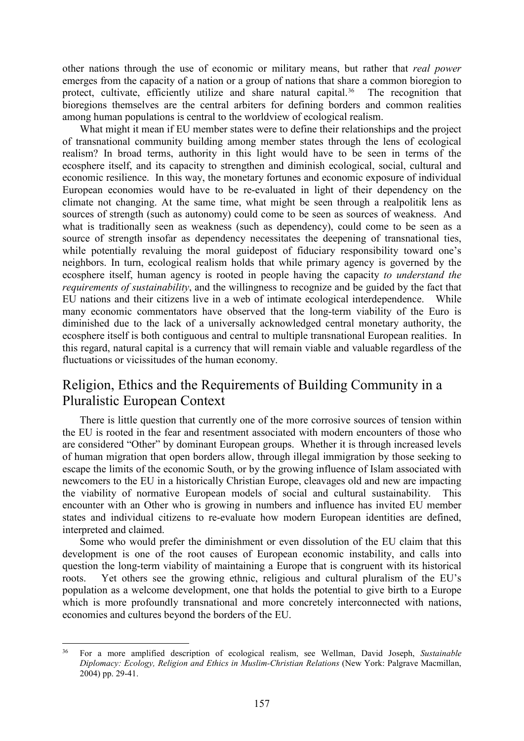other nations through the use of economic or military means, but rather that *real power* emerges from the capacity of a nation or a group of nations that share a common bioregion to protect, cultivate, efficiently utilize and share natural capital.<sup>36</sup> The recognition that bioregions themselves are the central arbiters for defining borders and common realities among human populations is central to the worldview of ecological realism.

What might it mean if EU member states were to define their relationships and the project of transnational community building among member states through the lens of ecological realism? In broad terms, authority in this light would have to be seen in terms of the ecosphere itself, and its capacity to strengthen and diminish ecological, social, cultural and economic resilience. In this way, the monetary fortunes and economic exposure of individual European economies would have to be re-evaluated in light of their dependency on the climate not changing. At the same time, what might be seen through a realpolitik lens as sources of strength (such as autonomy) could come to be seen as sources of weakness. And what is traditionally seen as weakness (such as dependency), could come to be seen as a source of strength insofar as dependency necessitates the deepening of transnational ties, while potentially revaluing the moral guidepost of fiduciary responsibility toward one's neighbors. In turn, ecological realism holds that while primary agency is governed by the ecosphere itself, human agency is rooted in people having the capacity *to understand the requirements of sustainability*, and the willingness to recognize and be guided by the fact that EU nations and their citizens live in a web of intimate ecological interdependence. While many economic commentators have observed that the long-term viability of the Euro is diminished due to the lack of a universally acknowledged central monetary authority, the ecosphere itself is both contiguous and central to multiple transnational European realities. In this regard, natural capital is a currency that will remain viable and valuable regardless of the fluctuations or vicissitudes of the human economy.

## Religion, Ethics and the Requirements of Building Community in a Pluralistic European Context

There is little question that currently one of the more corrosive sources of tension within the EU is rooted in the fear and resentment associated with modern encounters of those who are considered "Other" by dominant European groups. Whether it is through increased levels of human migration that open borders allow, through illegal immigration by those seeking to escape the limits of the economic South, or by the growing influence of Islam associated with newcomers to the EU in a historically Christian Europe, cleavages old and new are impacting the viability of normative European models of social and cultural sustainability. This encounter with an Other who is growing in numbers and influence has invited EU member states and individual citizens to re-evaluate how modern European identities are defined, interpreted and claimed.

Some who would prefer the diminishment or even dissolution of the EU claim that this development is one of the root causes of European economic instability, and calls into question the long-term viability of maintaining a Europe that is congruent with its historical roots. Yet others see the growing ethnic, religious and cultural pluralism of the EU's population as a welcome development, one that holds the potential to give birth to a Europe which is more profoundly transnational and more concretely interconnected with nations, economies and cultures beyond the borders of the EU.

<span id="page-14-0"></span><sup>36</sup> For a more amplified description of ecological realism, see Wellman, David Joseph, *Sustainable Diplomacy: Ecology, Religion and Ethics in Muslim-Christian Relations* (New York: Palgrave Macmillan, 2004) pp. 29-41.  $36$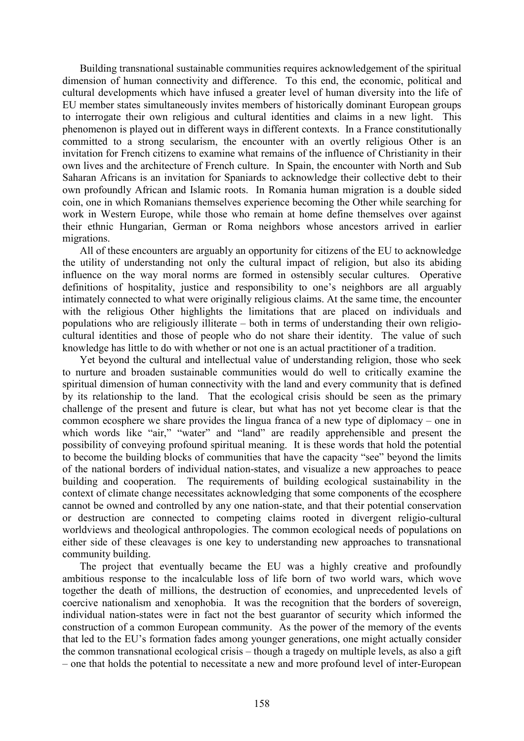Building transnational sustainable communities requires acknowledgement of the spiritual dimension of human connectivity and difference. To this end, the economic, political and cultural developments which have infused a greater level of human diversity into the life of EU member states simultaneously invites members of historically dominant European groups to interrogate their own religious and cultural identities and claims in a new light. This phenomenon is played out in different ways in different contexts. In a France constitutionally committed to a strong secularism, the encounter with an overtly religious Other is an invitation for French citizens to examine what remains of the influence of Christianity in their own lives and the architecture of French culture. In Spain, the encounter with North and Sub Saharan Africans is an invitation for Spaniards to acknowledge their collective debt to their own profoundly African and Islamic roots. In Romania human migration is a double sided coin, one in which Romanians themselves experience becoming the Other while searching for work in Western Europe, while those who remain at home define themselves over against their ethnic Hungarian, German or Roma neighbors whose ancestors arrived in earlier migrations.

All of these encounters are arguably an opportunity for citizens of the EU to acknowledge the utility of understanding not only the cultural impact of religion, but also its abiding influence on the way moral norms are formed in ostensibly secular cultures. Operative definitions of hospitality, justice and responsibility to one's neighbors are all arguably intimately connected to what were originally religious claims. At the same time, the encounter with the religious Other highlights the limitations that are placed on individuals and populations who are religiously illiterate – both in terms of understanding their own religiocultural identities and those of people who do not share their identity. The value of such knowledge has little to do with whether or not one is an actual practitioner of a tradition.

Yet beyond the cultural and intellectual value of understanding religion, those who seek to nurture and broaden sustainable communities would do well to critically examine the spiritual dimension of human connectivity with the land and every community that is defined by its relationship to the land. That the ecological crisis should be seen as the primary challenge of the present and future is clear, but what has not yet become clear is that the common ecosphere we share provides the lingua franca of a new type of diplomacy – one in which words like "air," "water" and "land" are readily apprehensible and present the possibility of conveying profound spiritual meaning. It is these words that hold the potential to become the building blocks of communities that have the capacity "see" beyond the limits of the national borders of individual nation-states, and visualize a new approaches to peace building and cooperation. The requirements of building ecological sustainability in the context of climate change necessitates acknowledging that some components of the ecosphere cannot be owned and controlled by any one nation-state, and that their potential conservation or destruction are connected to competing claims rooted in divergent religio-cultural worldviews and theological anthropologies. The common ecological needs of populations on either side of these cleavages is one key to understanding new approaches to transnational community building.

The project that eventually became the EU was a highly creative and profoundly ambitious response to the incalculable loss of life born of two world wars, which wove together the death of millions, the destruction of economies, and unprecedented levels of coercive nationalism and xenophobia. It was the recognition that the borders of sovereign, individual nation-states were in fact not the best guarantor of security which informed the construction of a common European community. As the power of the memory of the events that led to the EU's formation fades among younger generations, one might actually consider the common transnational ecological crisis – though a tragedy on multiple levels, as also a gift – one that holds the potential to necessitate a new and more profound level of inter-European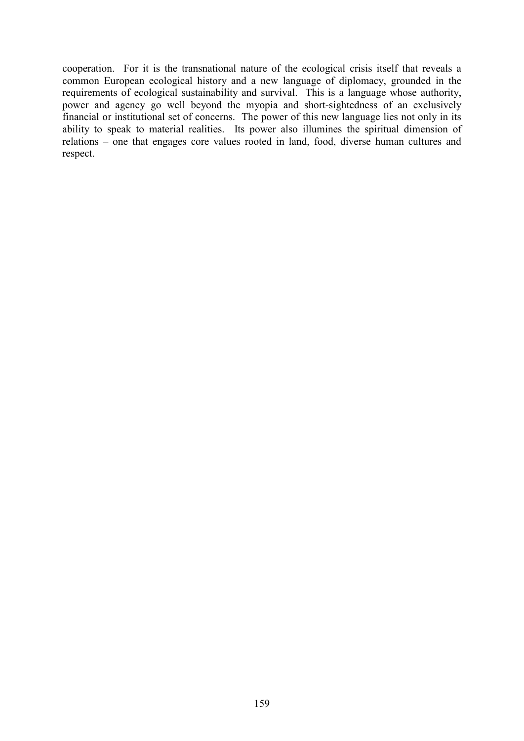cooperation. For it is the transnational nature of the ecological crisis itself that reveals a common European ecological history and a new language of diplomacy, grounded in the requirements of ecological sustainability and survival. This is a language whose authority, power and agency go well beyond the myopia and short-sightedness of an exclusively financial or institutional set of concerns. The power of this new language lies not only in its ability to speak to material realities. Its power also illumines the spiritual dimension of relations – one that engages core values rooted in land, food, diverse human cultures and respect.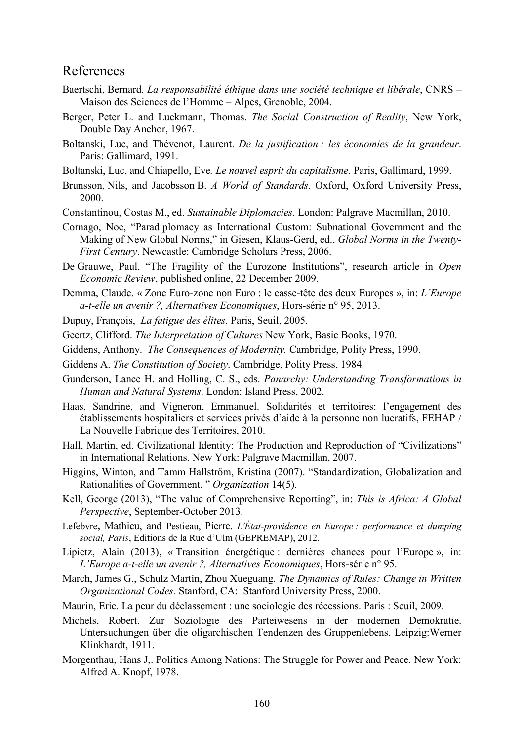#### References

- Baertschi, Bernard. *La responsabilité éthique dans une société technique et libérale*, CNRS Maison des Sciences de l'Homme – Alpes, Grenoble, 2004.
- Berger, Peter L. and Luckmann, Thomas. *The Social Construction of Reality*, New York, Double Day Anchor, 1967.
- Boltanski, Luc, and Thévenot, Laurent. *De la justification : les économies de la grandeur*. Paris: Gallimard, 1991.
- Boltanski, Luc, and Chiapello, Eve*. Le nouvel esprit du capitalisme*. Paris, Gallimard, 1999.
- Brunsson, Nils, and Jacobsson B. *A World of Standards*. Oxford, Oxford University Press, 2000.
- Constantinou, Costas M., ed. *Sustainable Diplomacies*. London: Palgrave Macmillan, 2010.
- Cornago, Noe, "Paradiplomacy as International Custom: Subnational Government and the Making of New Global Norms," in Giesen, Klaus-Gerd, ed., *Global Norms in the Twenty-First Century*. Newcastle: Cambridge Scholars Press, 2006.
- De Grauwe, Paul. "The Fragility of the Eurozone Institutions", research article in *Open Economic Review*, published online, 22 December 2009.
- Demma, Claude. « Zone Euro-zone non Euro : le casse-tête des deux Europes », in: *L'Europe a-t-elle un avenir ?, Alternatives Economiques*, Hors-série n° 95, 2013.
- Dupuy, François, *La fatigue des élites*. Paris, Seuil, 2005.
- Geertz, Clifford. *The Interpretation of Cultures* New York, Basic Books, 1970.
- Giddens, Anthony. *The Consequences of Modernity.* Cambridge, Polity Press, 1990.
- Giddens A. *The Constitution of Society*. Cambridge, Polity Press, 1984.
- Gunderson, Lance H. and Holling, C. S., eds. *Panarchy: Understanding Transformations in Human and Natural Systems*. London: Island Press, 2002.
- Haas, Sandrine, and Vigneron, Emmanuel. Solidarités et territoires: l'engagement des établissements hospitaliers et services privés d'aide à la personne non lucratifs, FEHAP / La Nouvelle Fabrique des Territoires, 2010.
- Hall, Martin, ed. Civilizational Identity: The Production and Reproduction of "Civilizations" in International Relations. New York: Palgrave Macmillan, 2007.
- Higgins, Winton, and Tamm Hallström, Kristina (2007). "Standardization, Globalization and Rationalities of Government, " *Organization* 14(5).
- Kell, George (2013), "The value of Comprehensive Reporting", in: *This is Africa: A Global Perspective*, September-October 2013.
- Lefebvre**,** Mathieu, and Pestieau, Pierre. *L'État-providence en Europe : performance et dumping social, Paris*, Editions de la Rue d'Ulm (GEPREMAP), 2012.
- Lipietz, Alain (2013), « Transition énergétique : dernières chances pour l'Europe », in: *L'Europe a-t-elle un avenir ?, Alternatives Economiques*, Hors-série n° 95.
- March, James G., Schulz Martin, Zhou Xueguang. *The Dynamics of Rules: Change in Written Organizational Codes.* Stanford, CA: Stanford University Press, 2000.
- Maurin, Eric. La peur du déclassement : une sociologie des récessions. Paris : Seuil, 2009.
- Michels, Robert. Zur Soziologie des Parteiwesens in der modernen Demokratie. Untersuchungen über die oligarchischen Tendenzen des Gruppenlebens. Leipzig:Werner Klinkhardt, 1911.
- Morgenthau, Hans J,. Politics Among Nations: The Struggle for Power and Peace. New York: Alfred A. Knopf, 1978.